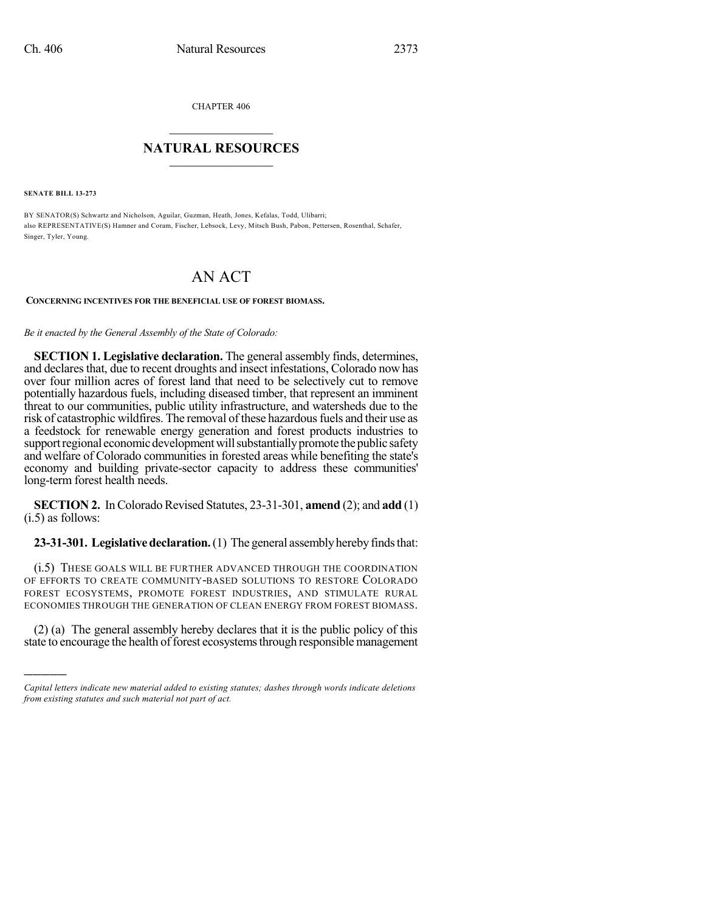CHAPTER 406

## $\mathcal{L}_\text{max}$  . The set of the set of the set of the set of the set of the set of the set of the set of the set of the set of the set of the set of the set of the set of the set of the set of the set of the set of the set **NATURAL RESOURCES**  $\frac{1}{\sqrt{2}}$  , where  $\frac{1}{\sqrt{2}}$  ,  $\frac{1}{\sqrt{2}}$  ,  $\frac{1}{\sqrt{2}}$

**SENATE BILL 13-273**

)))))

BY SENATOR(S) Schwartz and Nicholson, Aguilar, Guzman, Heath, Jones, Kefalas, Todd, Ulibarri; also REPRESENTATIVE(S) Hamner and Coram, Fischer, Lebsock, Levy, Mitsch Bush, Pabon, Pettersen, Rosenthal, Schafer, Singer, Tyler, Young.

## AN ACT

## **CONCERNING INCENTIVES FOR THE BENEFICIAL USE OF FOREST BIOMASS.**

## *Be it enacted by the General Assembly of the State of Colorado:*

**SECTION 1. Legislative declaration.** The general assembly finds, determines, and declares that, due to recent droughts and insect infestations, Colorado now has over four million acres of forest land that need to be selectively cut to remove potentially hazardous fuels, including diseased timber, that represent an imminent threat to our communities, public utility infrastructure, and watersheds due to the risk of catastrophic wildfires. The removal of these hazardous fuels and their use as a feedstock for renewable energy generation and forest products industries to support regional economic development will substantially promote the public safety and welfare of Colorado communities in forested areas while benefiting the state's economy and building private-sector capacity to address these communities' long-term forest health needs.

**SECTION 2.** In Colorado Revised Statutes, 23-31-301, **amend** (2); and **add** (1) (i.5) as follows:

**23-31-301. Legislative declaration.** (1) The general assembly hereby finds that:

(i.5) THESE GOALS WILL BE FURTHER ADVANCED THROUGH THE COORDINATION OF EFFORTS TO CREATE COMMUNITY-BASED SOLUTIONS TO RESTORE COLORADO FOREST ECOSYSTEMS, PROMOTE FOREST INDUSTRIES, AND STIMULATE RURAL ECONOMIES THROUGH THE GENERATION OF CLEAN ENERGY FROM FOREST BIOMASS.

(2) (a) The general assembly hereby declares that it is the public policy of this state to encourage the health of forest ecosystems through responsible management

*Capital letters indicate new material added to existing statutes; dashes through words indicate deletions from existing statutes and such material not part of act.*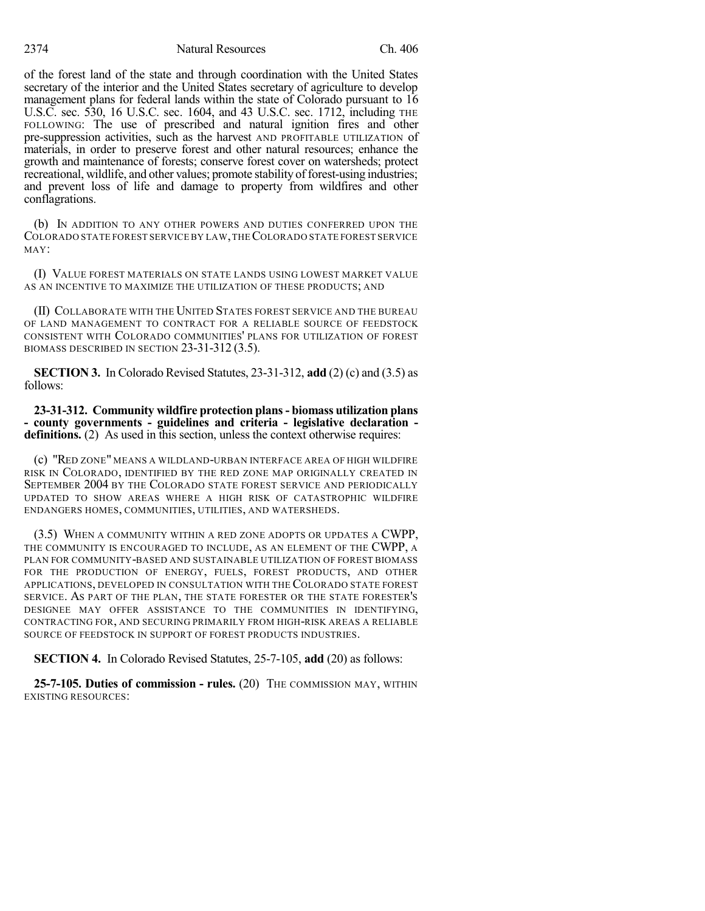2374 Natural Resources Ch. 406

of the forest land of the state and through coordination with the United States secretary of the interior and the United States secretary of agriculture to develop management plans for federal lands within the state of Colorado pursuant to 16 U.S.C. sec. 530, 16 U.S.C. sec. 1604, and 43 U.S.C. sec. 1712, including THE FOLLOWING: The use of prescribed and natural ignition fires and other pre-suppression activities, such as the harvest AND PROFITABLE UTILIZATION of materials, in order to preserve forest and other natural resources; enhance the growth and maintenance of forests; conserve forest cover on watersheds; protect recreational, wildlife, and other values; promote stability of forest-using industries; and prevent loss of life and damage to property from wildfires and other conflagrations.

(b) IN ADDITION TO ANY OTHER POWERS AND DUTIES CONFERRED UPON THE COLORADO STATE FOREST SERVICE BY LAW,THECOLORADO STATE FOREST SERVICE MAY:

(I) VALUE FOREST MATERIALS ON STATE LANDS USING LOWEST MARKET VALUE AS AN INCENTIVE TO MAXIMIZE THE UTILIZATION OF THESE PRODUCTS; AND

(II) COLLABORATE WITH THE UNITED STATES FOREST SERVICE AND THE BUREAU OF LAND MANAGEMENT TO CONTRACT FOR A RELIABLE SOURCE OF FEEDSTOCK CONSISTENT WITH COLORADO COMMUNITIES' PLANS FOR UTILIZATION OF FOREST BIOMASS DESCRIBED IN SECTION 23-31-312 (3.5).

**SECTION 3.** In Colorado Revised Statutes, 23-31-312, **add** (2) (c) and (3.5) as follows:

**23-31-312. Community wildfire protection plans- biomass utilization plans - county governments - guidelines and criteria - legislative declaration definitions.** (2) As used in this section, unless the context otherwise requires:

(c) "RED ZONE" MEANS A WILDLAND-URBAN INTERFACE AREA OF HIGH WILDFIRE RISK IN COLORADO, IDENTIFIED BY THE RED ZONE MAP ORIGINALLY CREATED IN SEPTEMBER 2004 BY THE COLORADO STATE FOREST SERVICE AND PERIODICALLY UPDATED TO SHOW AREAS WHERE A HIGH RISK OF CATASTROPHIC WILDFIRE ENDANGERS HOMES, COMMUNITIES, UTILITIES, AND WATERSHEDS.

(3.5) WHEN A COMMUNITY WITHIN A RED ZONE ADOPTS OR UPDATES A CWPP, THE COMMUNITY IS ENCOURAGED TO INCLUDE, AS AN ELEMENT OF THE CWPP, A PLAN FOR COMMUNITY-BASED AND SUSTAINABLE UTILIZATION OF FOREST BIOMASS FOR THE PRODUCTION OF ENERGY, FUELS, FOREST PRODUCTS, AND OTHER APPLICATIONS, DEVELOPED IN CONSULTATION WITH THE COLORADO STATE FOREST SERVICE. AS PART OF THE PLAN, THE STATE FORESTER OR THE STATE FORESTER'S DESIGNEE MAY OFFER ASSISTANCE TO THE COMMUNITIES IN IDENTIFYING, CONTRACTING FOR, AND SECURING PRIMARILY FROM HIGH-RISK AREAS A RELIABLE SOURCE OF FEEDSTOCK IN SUPPORT OF FOREST PRODUCTS INDUSTRIES.

**SECTION 4.** In Colorado Revised Statutes, 25-7-105, **add** (20) as follows:

**25-7-105. Duties of commission - rules.** (20) THE COMMISSION MAY, WITHIN EXISTING RESOURCES: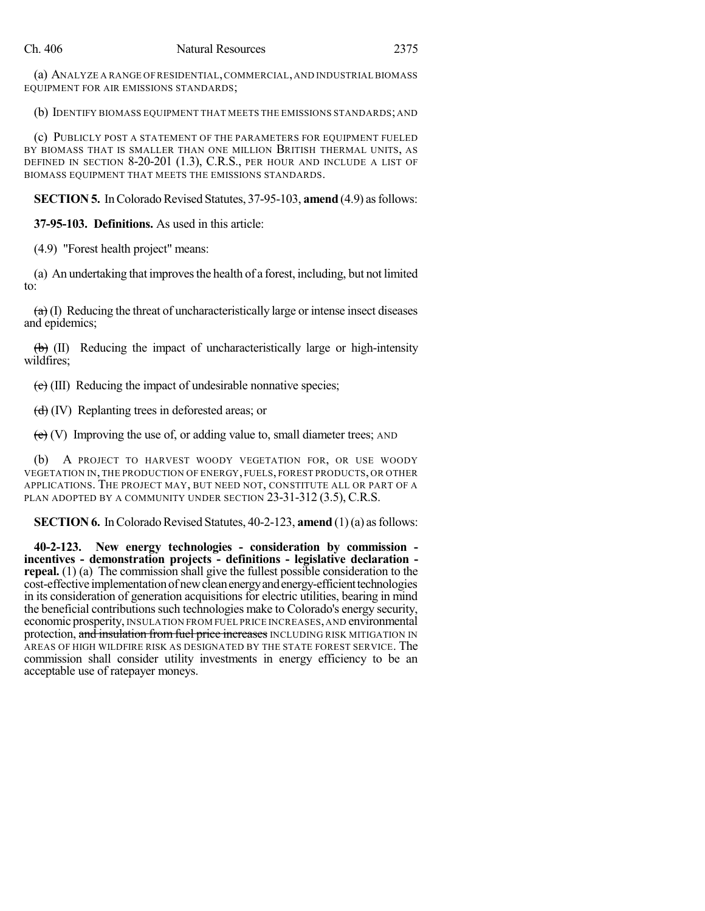(a) ANALYZE A RANGE OF RESIDENTIAL,COMMERCIAL,AND INDUSTRIALBIOMASS EQUIPMENT FOR AIR EMISSIONS STANDARDS;

(b) IDENTIFY BIOMASS EQUIPMENT THAT MEETS THE EMISSIONS STANDARDS; AND

(c) PUBLICLY POST A STATEMENT OF THE PARAMETERS FOR EQUIPMENT FUELED BY BIOMASS THAT IS SMALLER THAN ONE MILLION BRITISH THERMAL UNITS, AS DEFINED IN SECTION 8-20-201 (1.3), C.R.S., PER HOUR AND INCLUDE A LIST OF BIOMASS EQUIPMENT THAT MEETS THE EMISSIONS STANDARDS.

**SECTION 5.** In Colorado Revised Statutes, 37-95-103, **amend** (4.9) as follows:

**37-95-103. Definitions.** As used in this article:

(4.9) "Forest health project" means:

(a) An undertaking that improvesthe health of a forest, including, but not limited to:

 $\left( \frac{a}{b} \right)$  (I) Reducing the threat of uncharacteristically large or intense insect diseases and epidemics;

 $\left(\frac{1}{b}\right)$  (II) Reducing the impact of uncharacteristically large or high-intensity wildfires;

 $\left(\frac{1}{k}\right)$  (III) Reducing the impact of undesirable nonnative species;

 $(d)$  (IV) Replanting trees in deforested areas; or

 $(e)$  (V) Improving the use of, or adding value to, small diameter trees; AND

(b) A PROJECT TO HARVEST WOODY VEGETATION FOR, OR USE WOODY VEGETATION IN, THE PRODUCTION OF ENERGY, FUELS, FOREST PRODUCTS, OR OTHER APPLICATIONS. THE PROJECT MAY, BUT NEED NOT, CONSTITUTE ALL OR PART OF A PLAN ADOPTED BY A COMMUNITY UNDER SECTION 23-31-312 (3.5), C.R.S.

**SECTION 6.** In Colorado Revised Statutes, 40-2-123, **amend** (1)(a) as follows:

**40-2-123. New energy technologies - consideration by commission incentives - demonstration projects - definitions - legislative declaration repeal.** (1) (a) The commission shall give the fullest possible consideration to the cost-effective implementation of new clean energy and energy-efficient technologies in its consideration of generation acquisitions for electric utilities, bearing in mind the beneficial contributionssuch technologies make to Colorado's energy security, economic prosperity, INSULATION FROM FUEL PRICE INCREASES,AND environmental protection, and insulation from fuel price increases INCLUDING RISK MITIGATION IN AREAS OF HIGH WILDFIRE RISK AS DESIGNATED BY THE STATE FOREST SERVICE. The commission shall consider utility investments in energy efficiency to be an acceptable use of ratepayer moneys.